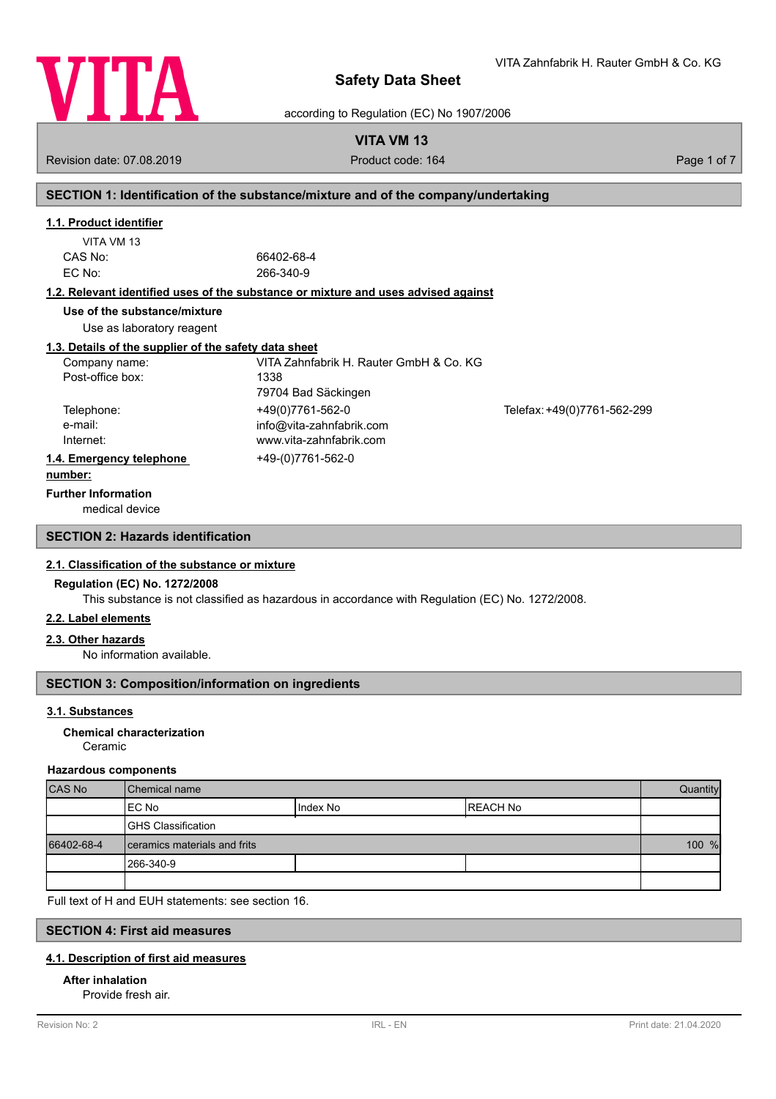

VITA Zahnfabrik H. Rauter GmbH & Co. KG

according to Regulation (EC) No 1907/2006

# **VITA VM 13**

Revision date: 07.08.2019 **Product code: 164** Product code: 164 Page 1 of 7

# **SECTION 1: Identification of the substance/mixture and of the company/undertaking**

## **1.1. Product identifier**

| VITA VM 13 |  |
|------------|--|
| CAS No:    |  |
| EC No:     |  |

66402-68-4 EC No: 266-340-9

#### **1.2. Relevant identified uses of the substance or mixture and uses advised against**

**Use of the substance/mixture**

Use as laboratory reagent

#### **1.3. Details of the supplier of the safety data sheet**

| Company name:            | VITA Zahnfabrik H. Rauter GmbH & Co. KG |                             |
|--------------------------|-----------------------------------------|-----------------------------|
| Post-office box:         | 1338                                    |                             |
|                          | 79704 Bad Säckingen                     |                             |
| Telephone:               | +49(0)7761-562-0                        | Telefax: +49(0)7761-562-299 |
| e-mail:                  | info@vita-zahnfabrik.com                |                             |
| Internet:                | www.vita-zahnfabrik.com                 |                             |
| 1.4. Emergency telephone | +49-(0)7761-562-0                       |                             |
| .                        |                                         |                             |

#### **number:**

**Further Information**

medical device

# **SECTION 2: Hazards identification**

#### **2.1. Classification of the substance or mixture**

#### **Regulation (EC) No. 1272/2008**

This substance is not classified as hazardous in accordance with Regulation (EC) No. 1272/2008.

#### **2.2. Label elements**

#### **2.3. Other hazards**

No information available.

# **SECTION 3: Composition/information on ingredients**

#### **3.1. Substances**

#### Ceramic **Chemical characterization**

#### **Hazardous components**

| <b>CAS No</b> | l Chemical name              |            | Quantity  |  |
|---------------|------------------------------|------------|-----------|--|
|               | IEC No                       | I Index No | IREACH No |  |
|               | <b>GHS Classification</b>    |            |           |  |
| 66402-68-4    | ceramics materials and frits |            | 100 %     |  |
|               | 1266-340-9                   |            |           |  |
|               |                              |            |           |  |

Full text of H and EUH statements: see section 16.

## **SECTION 4: First aid measures**

#### **4.1. Description of first aid measures**

#### **After inhalation**

Provide fresh air.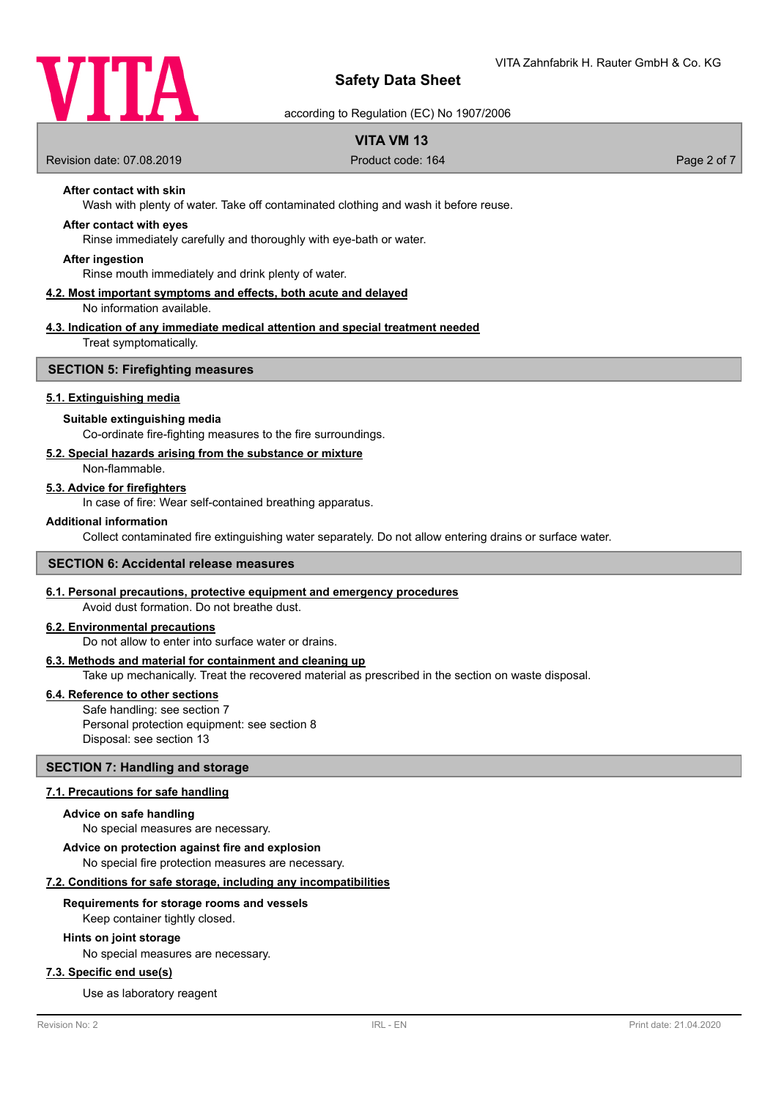

according to Regulation (EC) No 1907/2006

# **VITA VM 13**

Revision date: 07.08.2019 **Product code: 164** Product code: 164 Page 2 of 7

# **After contact with skin**

Wash with plenty of water. Take off contaminated clothing and wash it before reuse.

#### **After contact with eyes**

Rinse immediately carefully and thoroughly with eye-bath or water.

#### **After ingestion**

Rinse mouth immediately and drink plenty of water.

#### **4.2. Most important symptoms and effects, both acute and delayed** No information available.

# **4.3. Indication of any immediate medical attention and special treatment needed**

Treat symptomatically.

#### **SECTION 5: Firefighting measures**

#### **5.1. Extinguishing media**

#### **Suitable extinguishing media**

Co-ordinate fire-fighting measures to the fire surroundings.

#### **5.2. Special hazards arising from the substance or mixture**

Non-flammable.

#### **5.3. Advice for firefighters**

In case of fire: Wear self-contained breathing apparatus.

#### **Additional information**

Collect contaminated fire extinguishing water separately. Do not allow entering drains or surface water.

#### **SECTION 6: Accidental release measures**

#### **6.1. Personal precautions, protective equipment and emergency procedures**

Avoid dust formation. Do not breathe dust.

# **6.2. Environmental precautions**

Do not allow to enter into surface water or drains.

#### **6.3. Methods and material for containment and cleaning up**

Take up mechanically. Treat the recovered material as prescribed in the section on waste disposal.

#### **6.4. Reference to other sections**

Safe handling: see section 7 Personal protection equipment: see section 8 Disposal: see section 13

#### **SECTION 7: Handling and storage**

#### **7.1. Precautions for safe handling**

#### **Advice on safe handling**

No special measures are necessary.

**Advice on protection against fire and explosion**

No special fire protection measures are necessary.

## **7.2. Conditions for safe storage, including any incompatibilities**

#### **Requirements for storage rooms and vessels**

Keep container tightly closed.

#### **Hints on joint storage**

No special measures are necessary.

## **7.3. Specific end use(s)**

Use as laboratory reagent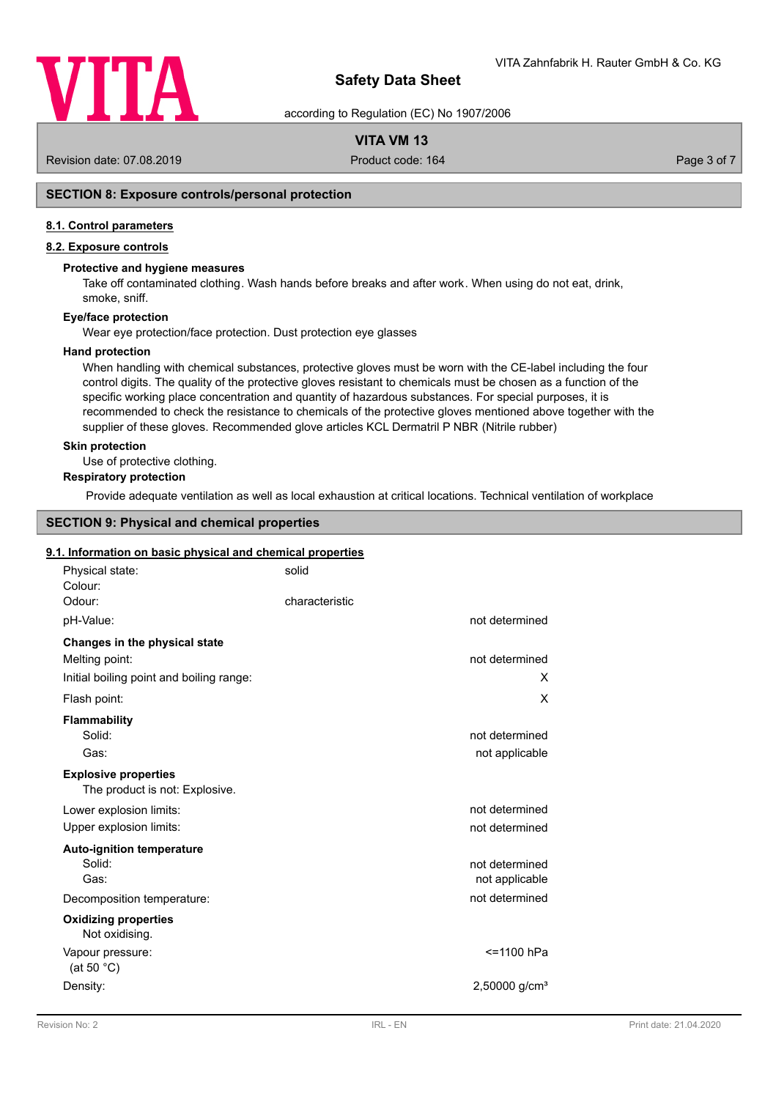

according to Regulation (EC) No 1907/2006

# **VITA VM 13**

Revision date: 07.08.2019 **Product code: 164** Product code: 164 Page 3 of 7

# **SECTION 8: Exposure controls/personal protection**

#### **8.1. Control parameters**

# **8.2. Exposure controls**

#### **Protective and hygiene measures**

Take off contaminated clothing. Wash hands before breaks and after work. When using do not eat, drink, smoke, sniff.

#### **Eye/face protection**

Wear eye protection/face protection. Dust protection eye glasses

#### **Hand protection**

When handling with chemical substances, protective gloves must be worn with the CE-label including the four control digits. The quality of the protective gloves resistant to chemicals must be chosen as a function of the specific working place concentration and quantity of hazardous substances. For special purposes, it is recommended to check the resistance to chemicals of the protective gloves mentioned above together with the supplier of these gloves. Recommended glove articles KCL Dermatril P NBR (Nitrile rubber)

#### **Skin protection**

Use of protective clothing.

# **Respiratory protection**

Provide adequate ventilation as well as local exhaustion at critical locations. Technical ventilation of workplace

# **SECTION 9: Physical and chemical properties**

#### **9.1. Information on basic physical and chemical properties**

| Physical state:<br>Colour:                                    | solid                       |
|---------------------------------------------------------------|-----------------------------|
| Odour:                                                        | characteristic              |
| pH-Value:                                                     | not determined              |
| Changes in the physical state                                 |                             |
| Melting point:                                                | not determined              |
| Initial boiling point and boiling range:                      | X                           |
| Flash point:                                                  | X                           |
| <b>Flammability</b>                                           |                             |
| Solid:                                                        | not determined              |
| Gas:                                                          | not applicable              |
| <b>Explosive properties</b><br>The product is not: Explosive. |                             |
| Lower explosion limits:                                       | not determined              |
| Upper explosion limits:                                       | not determined              |
| <b>Auto-ignition temperature</b>                              |                             |
| Solid:                                                        | not determined              |
| Gas:                                                          | not applicable              |
| Decomposition temperature:                                    | not determined              |
| <b>Oxidizing properties</b><br>Not oxidising.                 |                             |
| Vapour pressure:<br>(at 50 $^{\circ}$ C)                      | <=1100 hPa                  |
| Density:                                                      | $2,50000$ g/cm <sup>3</sup> |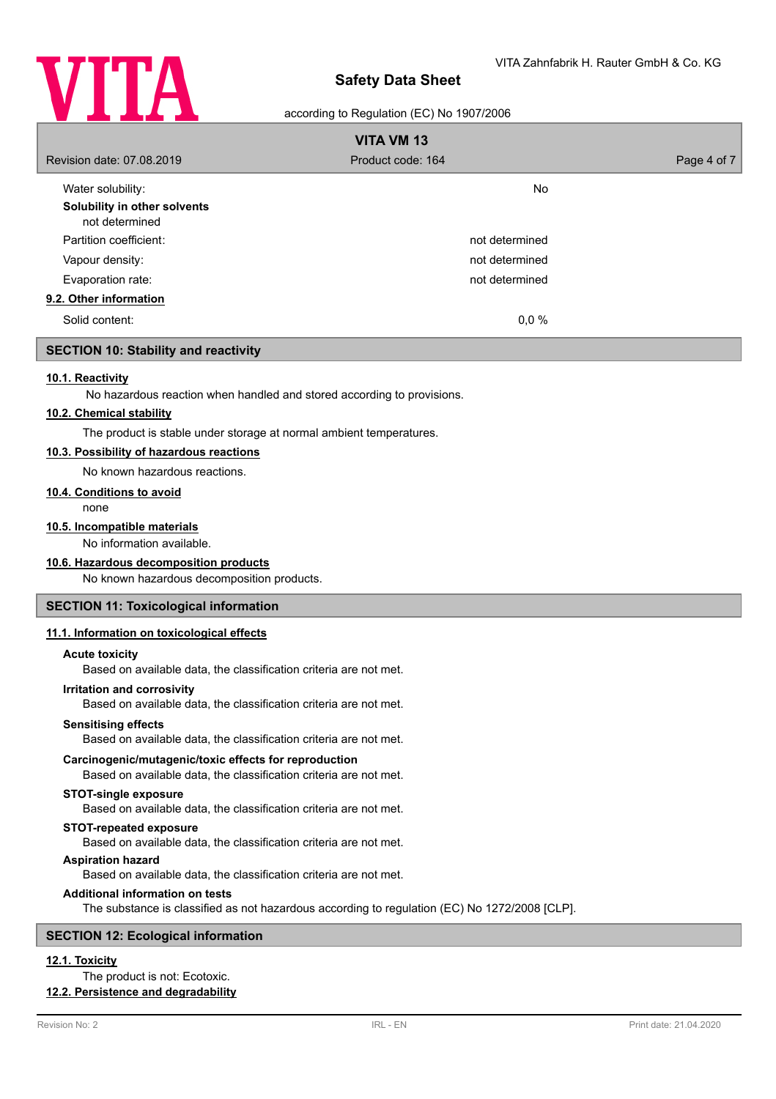

#### according to Regulation (EC) No 1907/2006

| <b>VITA VM 13</b>                              |                   |             |  |
|------------------------------------------------|-------------------|-------------|--|
| Revision date: 07.08.2019                      | Product code: 164 | Page 4 of 7 |  |
| Water solubility:                              | <b>No</b>         |             |  |
| Solubility in other solvents<br>not determined |                   |             |  |
| Partition coefficient:                         | not determined    |             |  |
| Vapour density:                                | not determined    |             |  |
| Evaporation rate:                              | not determined    |             |  |
| 9.2. Other information                         |                   |             |  |
| Solid content:                                 | 0,0%              |             |  |

## **SECTION 10: Stability and reactivity**

#### **10.1. Reactivity**

No hazardous reaction when handled and stored according to provisions.

#### **10.2. Chemical stability**

The product is stable under storage at normal ambient temperatures.

## **10.3. Possibility of hazardous reactions**

No known hazardous reactions.

#### **10.4. Conditions to avoid**

none

#### **10.5. Incompatible materials**

No information available.

#### **10.6. Hazardous decomposition products**

No known hazardous decomposition products.

#### **SECTION 11: Toxicological information**

#### **11.1. Information on toxicological effects**

#### **Acute toxicity**

Based on available data, the classification criteria are not met.

#### **Irritation and corrosivity**

Based on available data, the classification criteria are not met.

#### **Sensitising effects**

Based on available data, the classification criteria are not met.

#### **Carcinogenic/mutagenic/toxic effects for reproduction**

Based on available data, the classification criteria are not met.

## **STOT-single exposure**

Based on available data, the classification criteria are not met.

#### **STOT-repeated exposure**

Based on available data, the classification criteria are not met.

#### **Aspiration hazard**

Based on available data, the classification criteria are not met.

#### **Additional information on tests**

The substance is classified as not hazardous according to regulation (EC) No 1272/2008 [CLP].

#### **SECTION 12: Ecological information**

# **12.1. Toxicity**

The product is not: Ecotoxic.

# **12.2. Persistence and degradability**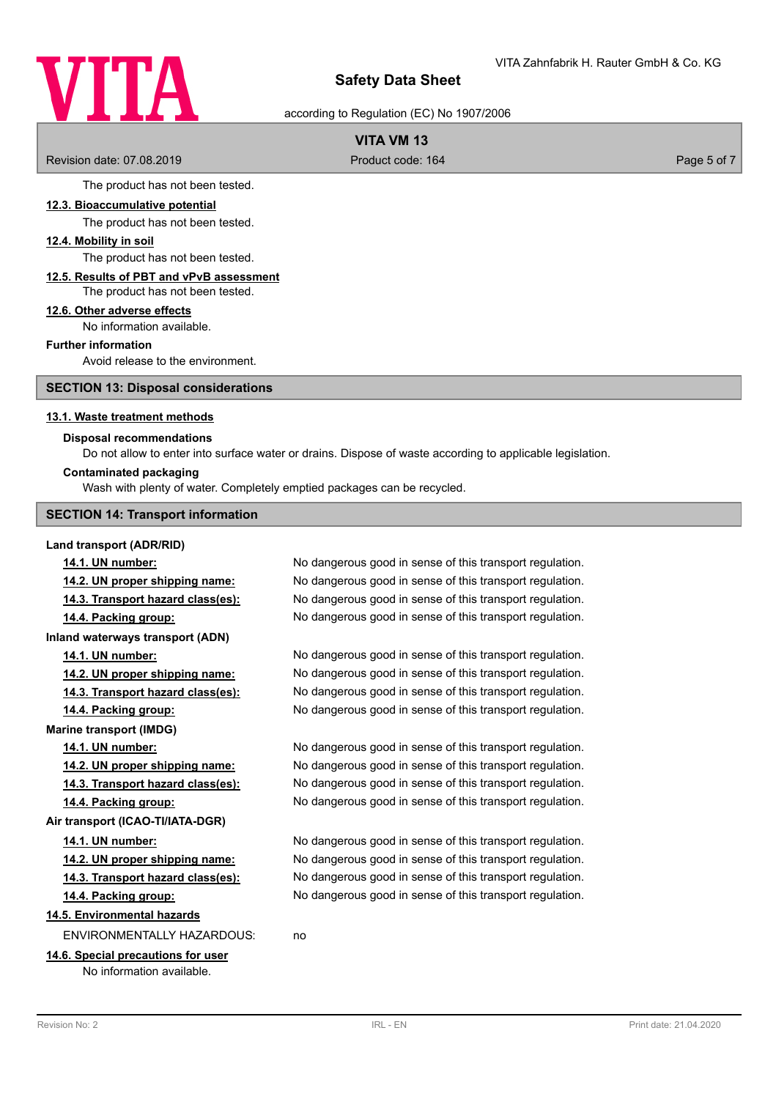# VITA

# **Safety Data Sheet**

according to Regulation (EC) No 1907/2006

# **VITA VM 13**

Revision date: 07.08.2019 **Product code: 164** Product code: 164 Page 5 of 7

The product has not been tested.

#### **12.3. Bioaccumulative potential**

The product has not been tested.

## **12.4. Mobility in soil**

The product has not been tested.

#### **12.5. Results of PBT and vPvB assessment** The product has not been tested.

# **12.6. Other adverse effects**

No information available.

#### **Further information**

Avoid release to the environment.

**SECTION 13: Disposal considerations**

#### **13.1. Waste treatment methods**

#### **Disposal recommendations**

Do not allow to enter into surface water or drains. Dispose of waste according to applicable legislation.

#### **Contaminated packaging**

Wash with plenty of water. Completely emptied packages can be recycled.

#### **SECTION 14: Transport information**

#### **Land transport (ADR/RID)**

**Marine transport (IMDG)**

**14.1. UN number:** No dangerous good in sense of this transport regulation. **14.2. UN proper shipping name:** No dangerous good in sense of this transport regulation. **14.3. Transport hazard class(es):** No dangerous good in sense of this transport regulation. **14.4. Packing group:** No dangerous good in sense of this transport regulation. **Inland waterways transport (ADN) 14.1. UN number:** No dangerous good in sense of this transport regulation. **14.2. UN proper shipping name:** No dangerous good in sense of this transport regulation. **14.3. Transport hazard class(es):** No dangerous good in sense of this transport regulation. **14.4. Packing group:** No dangerous good in sense of this transport regulation.

**14.1. UN number:** No dangerous good in sense of this transport regulation. **14.2. UN proper shipping name:** No dangerous good in sense of this transport regulation. **14.3. Transport hazard class(es):** No dangerous good in sense of this transport regulation. **14.4. Packing group:** No dangerous good in sense of this transport regulation.

**14.1. UN number:** No dangerous good in sense of this transport regulation. **14.2. UN proper shipping name:** No dangerous good in sense of this transport regulation. **14.3. Transport hazard class(es):** No dangerous good in sense of this transport regulation. **14.4. Packing group:** No dangerous good in sense of this transport regulation.

# **14.5. Environmental hazards**

ENVIRONMENTALLY HAZARDOUS: no

## **14.6. Special precautions for user**

**Air transport (ICAO-TI/IATA-DGR)**

No information available.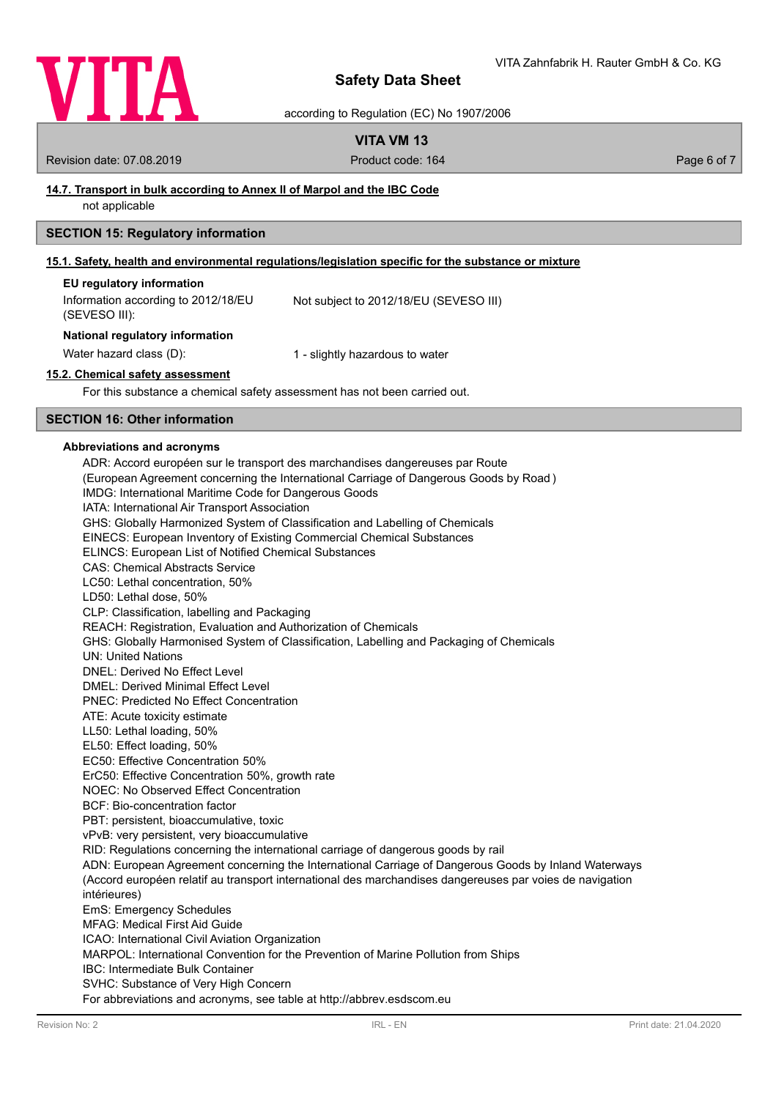

according to Regulation (EC) No 1907/2006

# **VITA VM 13**

Revision date: 07.08.2019 **Product code: 164** Product code: 164 **Page 6 of 7** Page 6 of 7

# **14.7. Transport in bulk according to Annex II of Marpol and the IBC Code**

not applicable

## **SECTION 15: Regulatory information**

## **15.1. Safety, health and environmental regulations/legislation specific for the substance or mixture**

| EU regulatory information           |                                        |
|-------------------------------------|----------------------------------------|
| Information according to 2012/18/EU | Not subject to 2012/18/EU (SEVESO III) |
| (SEVESO III):                       |                                        |

#### **National regulatory information**

Water hazard class (D): 1 - slightly hazardous to water

#### **15.2. Chemical safety assessment**

For this substance a chemical safety assessment has not been carried out.

# **SECTION 16: Other information**

#### **Abbreviations and acronyms**

ADR: Accord européen sur le transport des marchandises dangereuses par Route (European Agreement concerning the International Carriage of Dangerous Goods by Road ) IMDG: International Maritime Code for Dangerous Goods IATA: International Air Transport Association GHS: Globally Harmonized System of Classification and Labelling of Chemicals EINECS: European Inventory of Existing Commercial Chemical Substances ELINCS: European List of Notified Chemical Substances CAS: Chemical Abstracts Service LC50: Lethal concentration, 50% LD50: Lethal dose, 50% CLP: Classification, labelling and Packaging REACH: Registration, Evaluation and Authorization of Chemicals GHS: Globally Harmonised System of Classification, Labelling and Packaging of Chemicals UN: United Nations DNEL: Derived No Effect Level DMEL: Derived Minimal Effect Level PNEC: Predicted No Effect Concentration ATE: Acute toxicity estimate LL50: Lethal loading, 50% EL50: Effect loading, 50% EC50: Effective Concentration 50% ErC50: Effective Concentration 50%, growth rate NOEC: No Observed Effect Concentration BCF: Bio-concentration factor PBT: persistent, bioaccumulative, toxic vPvB: very persistent, very bioaccumulative RID: Regulations concerning the international carriage of dangerous goods by rail ADN: European Agreement concerning the International Carriage of Dangerous Goods by Inland Waterways (Accord européen relatif au transport international des marchandises dangereuses par voies de navigation intérieures) EmS: Emergency Schedules MFAG: Medical First Aid Guide ICAO: International Civil Aviation Organization MARPOL: International Convention for the Prevention of Marine Pollution from Ships IBC: Intermediate Bulk Container SVHC: Substance of Very High Concern For abbreviations and acronyms, see table at http://abbrev.esdscom.eu